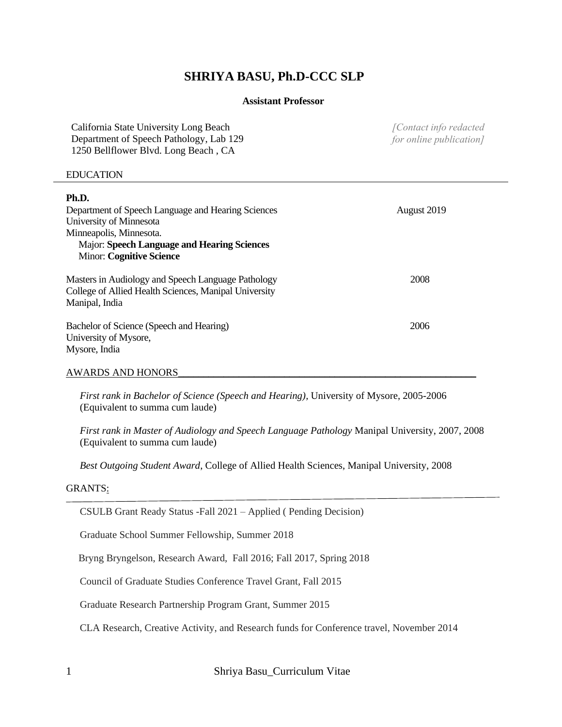# **SHRIYA BASU, Ph.D-CCC SLP**

## **Assistant Professor**

| California State University Long Beach  | [Contact info redacted] |
|-----------------------------------------|-------------------------|
| Department of Speech Pathology, Lab 129 | for online publication] |
| 1250 Bellflower Blvd. Long Beach, CA    |                         |

#### EDUCATION

| Ph.D.<br>Department of Speech Language and Hearing Sciences<br>University of Minnesota<br>Minneapolis, Minnesota.<br>Major: Speech Language and Hearing Sciences<br><b>Minor: Cognitive Science</b> | August 2019 |
|-----------------------------------------------------------------------------------------------------------------------------------------------------------------------------------------------------|-------------|
| Masters in Audiology and Speech Language Pathology<br>College of Allied Health Sciences, Manipal University<br>Manipal, India                                                                       | 2008        |
| Bachelor of Science (Speech and Hearing)<br>University of Mysore,<br>Mysore, India                                                                                                                  | 2006        |
| AWARDS AND HONORS                                                                                                                                                                                   |             |

*First rank in Bachelor of Science (Speech and Hearing),* University of Mysore, 2005-2006 (Equivalent to summa cum laude)

*First rank in Master of Audiology and Speech Language Pathology* Manipal University, 2007, 2008 (Equivalent to summa cum laude)

*Best Outgoing Student Award*, College of Allied Health Sciences, Manipal University, 2008

## GRANTS:

CSULB Grant Ready Status -Fall 2021 – Applied ( Pending Decision)

Graduate School Summer Fellowship, Summer 2018

Bryng Bryngelson, Research Award, Fall 2016; Fall 2017, Spring 2018

Council of Graduate Studies Conference Travel Grant, Fall 2015

Graduate Research Partnership Program Grant, Summer 2015

CLA Research, Creative Activity, and Research funds for Conference travel, November 2014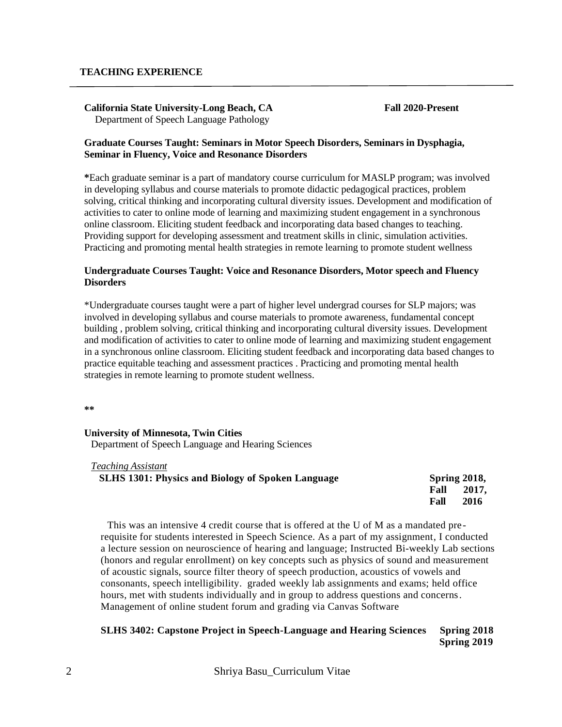**California State University-Long Beach, CA Fall 2020-Present** Department of Speech Language Pathology

#### **Graduate Courses Taught: Seminars in Motor Speech Disorders, Seminars in Dysphagia, Seminar in Fluency, Voice and Resonance Disorders**

**\***Each graduate seminar is a part of mandatory course curriculum for MASLP program; was involved in developing syllabus and course materials to promote didactic pedagogical practices, problem solving, critical thinking and incorporating cultural diversity issues. Development and modification of activities to cater to online mode of learning and maximizing student engagement in a synchronous online classroom. Eliciting student feedback and incorporating data based changes to teaching. Providing support for developing assessment and treatment skills in clinic, simulation activities. Practicing and promoting mental health strategies in remote learning to promote student wellness

## **Undergraduate Courses Taught: Voice and Resonance Disorders, Motor speech and Fluency Disorders**

\*Undergraduate courses taught were a part of higher level undergrad courses for SLP majors; was involved in developing syllabus and course materials to promote awareness, fundamental concept building , problem solving, critical thinking and incorporating cultural diversity issues. Development and modification of activities to cater to online mode of learning and maximizing student engagement in a synchronous online classroom. Eliciting student feedback and incorporating data based changes to practice equitable teaching and assessment practices . Practicing and promoting mental health strategies in remote learning to promote student wellness.

**\*\***

#### **University of Minnesota, Twin Cities**

Department of Speech Language and Hearing Sciences

#### *Teaching Assistant*

| <b>SLHS 1301: Physics and Biology of Spoken Language</b> | Spring 2018,  |
|----------------------------------------------------------|---------------|
|                                                          | 2017,<br>Fall |
|                                                          | 2016<br>Fall  |

This was an intensive 4 credit course that is offered at the U of M as a mandated pre requisite for students interested in Speech Science. As a part of my assignment, I conducted a lecture session on neuroscience of hearing and language; Instructed Bi-weekly Lab sections (honors and regular enrollment) on key concepts such as physics of sound and measurement of acoustic signals, source filter theory of speech production, acoustics of vowels and consonants, speech intelligibility. graded weekly lab assignments and exams; held office hours, met with students individually and in group to address questions and concerns. Management of online student forum and grading via Canvas Software

## **SLHS 3402: Capstone Project in Speech-Language and Hearing Sciences Spring 2018 Spring 2019**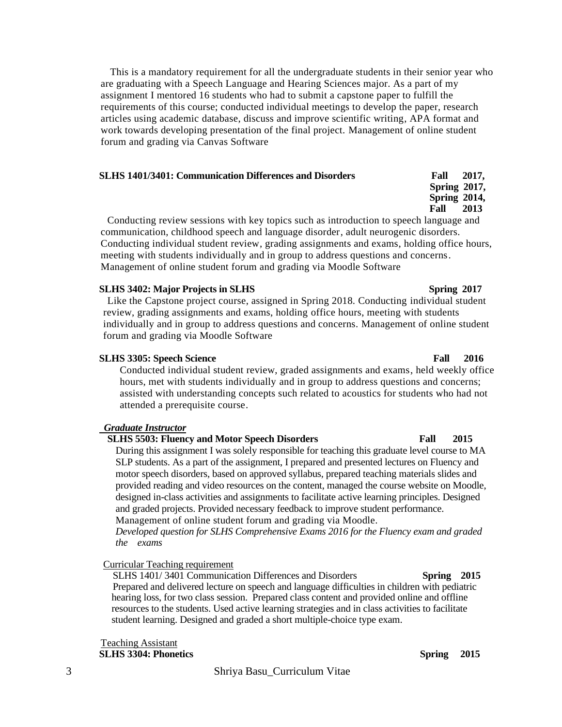This is a mandatory requirement for all the undergraduate students in their senior year who are graduating with a Speech Language and Hearing Sciences major. As a part of my assignment I mentored 16 students who had to submit a capstone paper to fulfill the requirements of this course; conducted individual meetings to develop the paper, research articles using academic database, discuss and improve scientific writing, APA format and work towards developing presentation of the final project. Management of online student forum and grading via Canvas Software

#### **SLHS 1401/3401: Communication Differences and Disorders Fall 2017,**

**Fall 2013** Conducting review sessions with key topics such as introduction to speech language and communication, childhood speech and language disorder, adult neurogenic disorders. Conducting individual student review, grading assignments and exams, holding office hours, meeting with students individually and in group to address questions and concerns. Management of online student forum and grading via Moodle Software

### **SLHS 3402: Major Projects in SLHS Spring 2017**

Like the Capstone project course, assigned in Spring 2018. Conducting individual student review, grading assignments and exams, holding office hours, meeting with students individually and in group to address questions and concerns. Management of online student forum and grading via Moodle Software

## **SLHS 3305: Speech Science Fall 2016**

Conducted individual student review, graded assignments and exams, held weekly office hours, met with students individually and in group to address questions and concerns; assisted with understanding concepts such related to acoustics for students who had not attended a prerequisite course.

## *Graduate Instructor*

# **SLHS 5503: Fluency and Motor Speech Disorders Fall 2015**

During this assignment I was solely responsible for teaching this graduate level course to MA SLP students. As a part of the assignment, I prepared and presented lectures on Fluency and motor speech disorders, based on approved syllabus, prepared teaching materials slides and provided reading and video resources on the content, managed the course website on Moodle, designed in-class activities and assignments to facilitate active learning principles. Designed and graded projects. Provided necessary feedback to improve student performance. Management of online student forum and grading via Moodle.

*Developed question for SLHS Comprehensive Exams 2016 for the Fluency exam and graded the exams*

## Curricular Teaching requirement

 SLHS 1401/ 3401 Communication Differences and Disorders **Spring 2015** Prepared and delivered lecture on speech and language difficulties in children with pediatric hearing loss, for two class session. Prepared class content and provided online and offline resources to the students. Used active learning strategies and in class activities to facilitate student learning. Designed and graded a short multiple-choice type exam.

Teaching Assistant **SLHS 3304: Phonetics** Spring 2015

# 3 Shriya Basu\_Curriculum Vitae

 **Spring 2017, Spring 2014,**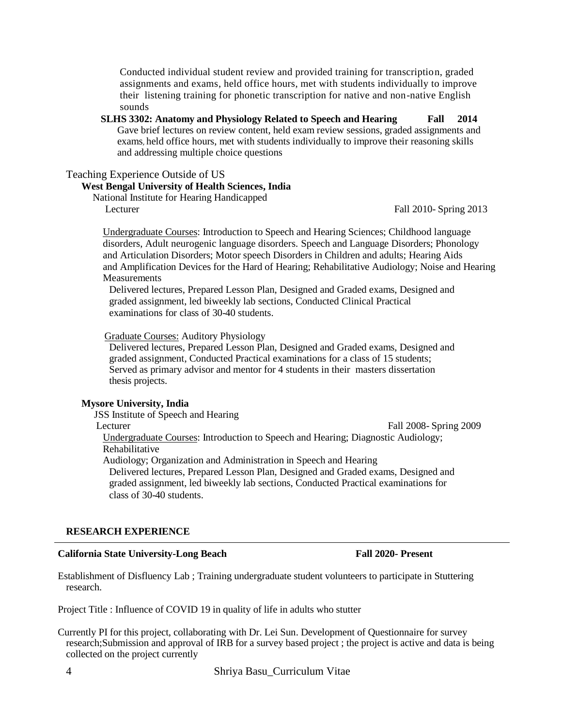Conducted individual student review and provided training for transcription, graded assignments and exams, held office hours, met with students individually to improve their listening training for phonetic transcription for native and non-native English sounds

**SLHS 3302: Anatomy and Physiology Related to Speech and Hearing Fall 2014** Gave brief lectures on review content, held exam review sessions, graded assignments and exams, held office hours, met with students individually to improve their reasoning skills and addressing multiple choice questions

#### Teaching Experience Outside of US

#### **West Bengal University of Health Sciences, India**

National Institute for Hearing Handicapped Lecturer Fall 2010- Spring 2013

Undergraduate Courses: Introduction to Speech and Hearing Sciences; Childhood language disorders, Adult neurogenic language disorders. Speech and Language Disorders; Phonology and Articulation Disorders; Motor speech Disorders in Children and adults; Hearing Aids and Amplification Devices for the Hard of Hearing; Rehabilitative Audiology; Noise and Hearing **Measurements** 

Delivered lectures, Prepared Lesson Plan, Designed and Graded exams, Designed and graded assignment, led biweekly lab sections, Conducted Clinical Practical examinations for class of 30-40 students.

Graduate Courses: Auditory Physiology

Delivered lectures, Prepared Lesson Plan, Designed and Graded exams, Designed and graded assignment, Conducted Practical examinations for a class of 15 students; Served as primary advisor and mentor for 4 students in their masters dissertation thesis projects.

### **Mysore University, India**

JSS Institute of Speech and Hearing

Lecturer Fall 2008- Spring 2009

Undergraduate Courses: Introduction to Speech and Hearing; Diagnostic Audiology; Rehabilitative

Audiology; Organization and Administration in Speech and Hearing

Delivered lectures, Prepared Lesson Plan, Designed and Graded exams, Designed and graded assignment, led biweekly lab sections, Conducted Practical examinations for class of 30-40 students.

#### **RESEARCH EXPERIENCE**

#### **California State University-Long Beach Fall 2020- Present**

Establishment of Disfluency Lab ; Training undergraduate student volunteers to participate in Stuttering research.

Project Title : Influence of COVID 19 in quality of life in adults who stutter

Currently PI for this project, collaborating with Dr. Lei Sun. Development of Questionnaire for survey research;Submission and approval of IRB for a survey based project ; the project is active and data is being collected on the project currently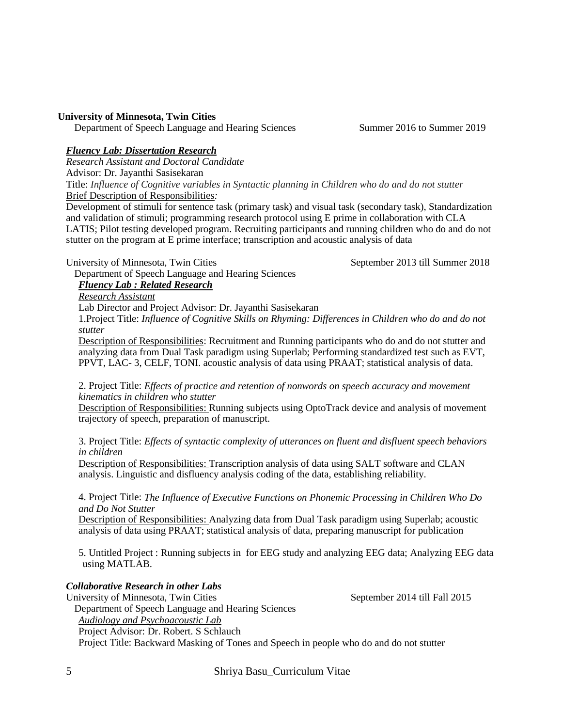## **University of Minnesota, Twin Cities**

Department of Speech Language and Hearing Sciences Summer 2016 to Summer 2019

## *Fluency Lab: Dissertation Research*

*Research Assistant and Doctoral Candidate*

Advisor: Dr. Jayanthi Sasisekaran

Title: *Influence of Cognitive variables in Syntactic planning in Children who do and do not stutter* Brief Description of Responsibilities*:* 

Development of stimuli for sentence task (primary task) and visual task (secondary task), Standardization and validation of stimuli; programming research protocol using E prime in collaboration with CLA LATIS; Pilot testing developed program. Recruiting participants and running children who do and do not stutter on the program at E prime interface; transcription and acoustic analysis of data

University of Minnesota, Twin Cities September 2013 till Summer 2018

Department of Speech Language and Hearing Sciences

# *Fluency Lab : Related Research*

*Research Assistant* 

Lab Director and Project Advisor: Dr. Jayanthi Sasisekaran

1.Project Title: *Influence of Cognitive Skills on Rhyming: Differences in Children who do and do not stutter*

Description of Responsibilities: Recruitment and Running participants who do and do not stutter and analyzing data from Dual Task paradigm using Superlab; Performing standardized test such as EVT, PPVT, LAC- 3, CELF, TONI. acoustic analysis of data using PRAAT; statistical analysis of data.

2. Project Title: *Effects of practice and retention of nonwords on speech accuracy and movement kinematics in children who stutter*

Description of Responsibilities: Running subjects using OptoTrack device and analysis of movement trajectory of speech, preparation of manuscript.

3. Project Title: *Effects of syntactic complexity of utterances on fluent and disfluent speech behaviors in children*

Description of Responsibilities: Transcription analysis of data using SALT software and CLAN analysis. Linguistic and disfluency analysis coding of the data, establishing reliability.

4. Project Title: *The Influence of Executive Functions on Phonemic Processing in Children Who Do and Do Not Stutter*

Description of Responsibilities: Analyzing data from Dual Task paradigm using Superlab; acoustic analysis of data using PRAAT; statistical analysis of data, preparing manuscript for publication

5. Untitled Project : Running subjects in for EEG study and analyzing EEG data; Analyzing EEG data using MATLAB.

## *Collaborative Research in other Labs*

University of Minnesota, Twin Cities September 2014 till Fall 2015 Department of Speech Language and Hearing Sciences *Audiology and Psychoacoustic Lab* Project Advisor: Dr. Robert. S Schlauch Project Title: Backward Masking of Tones and Speech in people who do and do not stutter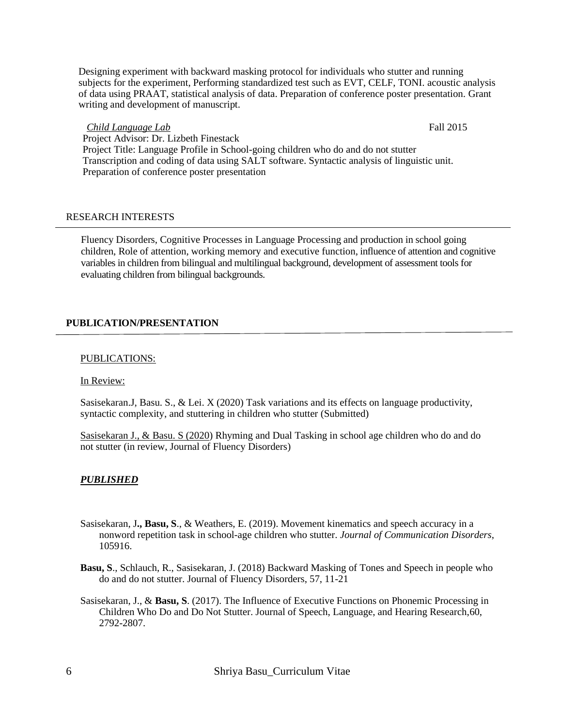Designing experiment with backward masking protocol for individuals who stutter and running subjects for the experiment, Performing standardized test such as EVT, CELF, TONI. acoustic analysis of data using PRAAT, statistical analysis of data. Preparation of conference poster presentation. Grant writing and development of manuscript.

## *Child Language Lab* Fall 2015

Project Advisor: Dr. Lizbeth Finestack Project Title: Language Profile in School-going children who do and do not stutter Transcription and coding of data using SALT software. Syntactic analysis of linguistic unit. Preparation of conference poster presentation

## RESEARCH INTERESTS

Fluency Disorders, Cognitive Processes in Language Processing and production in school going children, Role of attention, working memory and executive function, influence of attention and cognitive variables in children from bilingual and multilingual background, development of assessment tools for evaluating children from bilingual backgrounds.

# **PUBLICATION/PRESENTATION**

## PUBLICATIONS:

In Review:

Sasisekaran.J, Basu. S., & Lei. X (2020) Task variations and its effects on language productivity, syntactic complexity, and stuttering in children who stutter (Submitted)

Sasisekaran J., & Basu. S (2020) Rhyming and Dual Tasking in school age children who do and do not stutter (in review, Journal of Fluency Disorders)

# *PUBLISHED*

- Sasisekaran, J**., Basu, S**., & Weathers, E. (2019). Movement kinematics and speech accuracy in a nonword repetition task in school-age children who stutter. *Journal of Communication Disorders*, 105916.
- **Basu, S**., Schlauch, R., Sasisekaran, J. (2018) Backward Masking of Tones and Speech in people who do and do not stutter. Journal of Fluency Disorders, 57, 11-21
- Sasisekaran, J., & **Basu, S**. (2017). The Influence of Executive Functions on Phonemic Processing in Children Who Do and Do Not Stutter. Journal of Speech, Language, and Hearing Research,60, 2792-2807.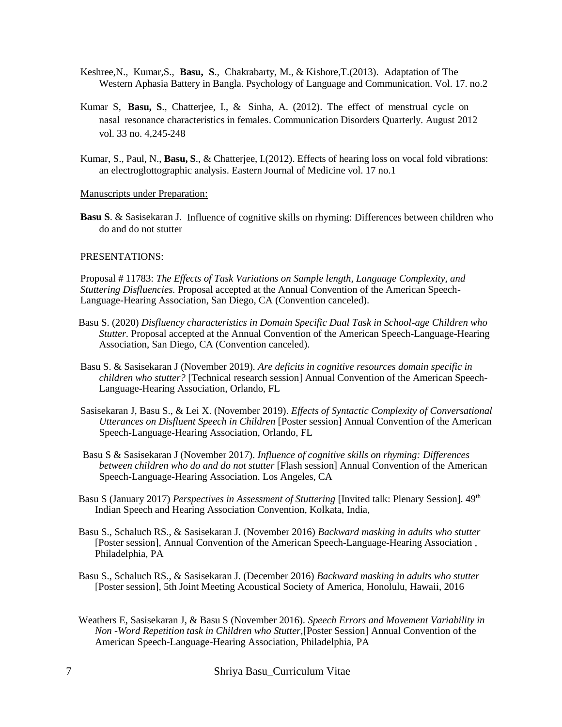- Keshree,N., Kumar,S., **Basu, S**., Chakrabarty, M., & Kishore,T.(2013). Adaptation of The Western Aphasia Battery in Bangla. Psychology of Language and Communication. Vol. 17. no.2
- Kumar S, **Basu, S**., Chatterjee, I., & Sinha, A. (2012). The effect of menstrual cycle on nasal resonance characteristics in females. Communication Disorders Quarterly. August 2012 vol. 33 no. 4,245-248
- Kumar, S., Paul, N., **Basu, S**., & Chatterjee, I.(2012). Effects of hearing loss on vocal fold vibrations: an electroglottographic analysis. Eastern Journal of Medicine vol. 17 no.1

#### Manuscripts under Preparation:

**Basu S**. & Sasisekaran J. Influence of cognitive skills on rhyming: Differences between children who do and do not stutter

#### PRESENTATIONS:

Proposal # 11783: *The Effects of Task Variations on Sample length, Language Complexity, and Stuttering Disfluencies.* Proposal accepted at the Annual Convention of the American Speech-Language-Hearing Association, San Diego, CA (Convention canceled).

- Basu S. (2020) *Disfluency characteristics in Domain Specific Dual Task in School-age Children who Stutter.* Proposal accepted at the Annual Convention of the American Speech-Language-Hearing Association, San Diego, CA (Convention canceled).
- Basu S. & Sasisekaran J (November 2019). *Are deficits in cognitive resources domain specific in children who stutter?* [Technical research session] Annual Convention of the American Speech-Language-Hearing Association, Orlando, FL
- Sasisekaran J, Basu S., & Lei X. (November 2019). *Effects of Syntactic Complexity of Conversational Utterances on Disfluent Speech in Children* [Poster session] Annual Convention of the American Speech-Language-Hearing Association, Orlando, FL
- Basu S & Sasisekaran J (November 2017). *Influence of cognitive skills on rhyming: Differences between children who do and do not stutter* [Flash session] Annual Convention of the American Speech-Language-Hearing Association. Los Angeles, CA
- Basu S (January 2017) *Perspectives in Assessment of Stuttering* [Invited talk: Plenary Session]. 49th Indian Speech and Hearing Association Convention, Kolkata, India,
- Basu S., Schaluch RS., & Sasisekaran J. (November 2016) *Backward masking in adults who stutter* [Poster session], Annual Convention of the American Speech-Language-Hearing Association , Philadelphia, PA
- Basu S., Schaluch RS., & Sasisekaran J. (December 2016) *Backward masking in adults who stutter* [Poster session], 5th Joint Meeting Acoustical Society of America, Honolulu, Hawaii, 2016
- Weathers E, Sasisekaran J, & Basu S (November 2016). *Speech Errors and Movement Variability in Non -Word Repetition task in Children who Stutter,*[Poster Session] Annual Convention of the American Speech-Language-Hearing Association, Philadelphia, PA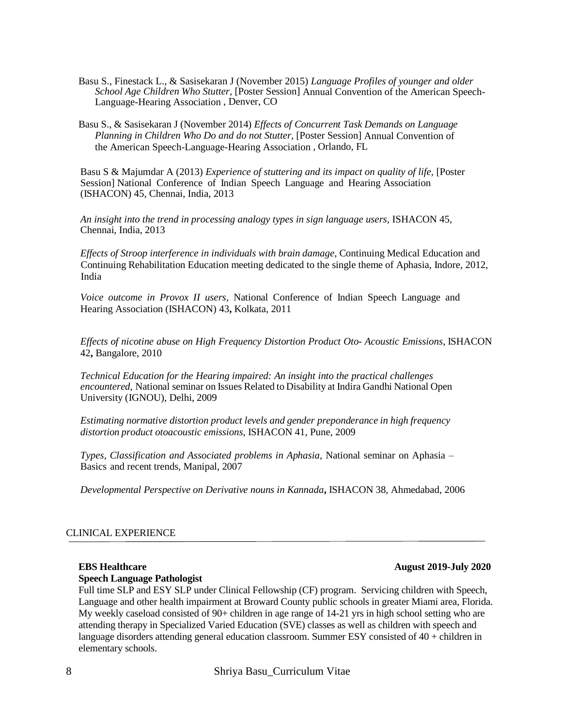- Basu S., Finestack L., & Sasisekaran J (November 2015) *Language Profiles of younger and older School Age Children Who Stutter*, [Poster Session] Annual Convention of the American Speech-Language-Hearing Association , Denver, CO
- Basu S., & Sasisekaran J (November 2014) *Effects of Concurrent Task Demands on Language Planning in Children Who Do and do not Stutter*, [Poster Session] Annual Convention of the American Speech-Language-Hearing Association , Orlando, FL

Basu S & Majumdar A (2013) *Experience of stuttering and its impact on quality of life,* [Poster Session] National Conference of Indian Speech Language and Hearing Association (ISHACON) 45, Chennai, India, 2013

*An insight into the trend in processing analogy types in sign language users,* ISHACON 45, Chennai, India, 2013

*Effects of Stroop interference in individuals with brain damage*, Continuing Medical Education and Continuing Rehabilitation Education meeting dedicated to the single theme of Aphasia, Indore, 2012, India

*Voice outcome in Provox II users*, National Conference of Indian Speech Language and Hearing Association (ISHACON) 43**,** Kolkata, 2011

*Effects of nicotine abuse on High Frequency Distortion Product Oto- Acoustic Emissions*, ISHACON 42**,** Bangalore, 2010

*Technical Education for the Hearing impaired: An insight into the practical challenges encountered*, National seminar on Issues Related to Disability at Indira Gandhi National Open University (IGNOU), Delhi, 2009

*Estimating normative distortion product levels and gender preponderance in high frequency distortion product otoacoustic emissions*, ISHACON 41, Pune, 2009

*Types, Classification and Associated problems in Aphasia,* National seminar on Aphasia – Basics and recent trends, Manipal, 2007

*Developmental Perspective on Derivative nouns in Kannada***,** ISHACON 38, Ahmedabad, 2006

## CLINICAL EXPERIENCE

#### **Speech Language Pathologist**

Full time SLP and ESY SLP under Clinical Fellowship (CF) program. Servicing children with Speech, Language and other health impairment at Broward County public schools in greater Miami area, Florida. My weekly caseload consisted of 90+ children in age range of 14-21 yrs in high school setting who are attending therapy in Specialized Varied Education (SVE) classes as well as children with speech and language disorders attending general education classroom. Summer ESY consisted of 40 + children in elementary schools.

8 Shriya Basu\_Curriculum Vitae

## **EBS Healthcare** August 2019-July 2020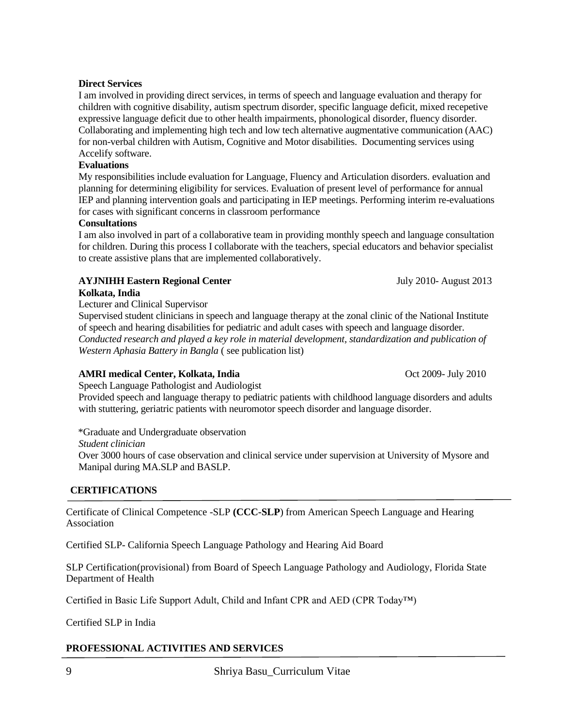## **Direct Services**

I am involved in providing direct services, in terms of speech and language evaluation and therapy for children with cognitive disability, autism spectrum disorder, specific language deficit, mixed recepetive expressive language deficit due to other health impairments, phonological disorder, fluency disorder. Collaborating and implementing high tech and low tech alternative augmentative communication (AAC) for non-verbal children with Autism, Cognitive and Motor disabilities. Documenting services using Accelify software.

## **Evaluations**

My responsibilities include evaluation for Language, Fluency and Articulation disorders. evaluation and planning for determining eligibility for services. Evaluation of present level of performance for annual IEP and planning intervention goals and participating in IEP meetings. Performing interim re-evaluations for cases with significant concerns in classroom performance

## **Consultations**

I am also involved in part of a collaborative team in providing monthly speech and language consultation for children. During this process I collaborate with the teachers, special educators and behavior specialist to create assistive plans that are implemented collaboratively.

# **AYJNIHH Eastern Regional Center At a state of the Second 2013** July 2010- August 2013 **Kolkata, India**

Lecturer and Clinical Supervisor

Supervised student clinicians in speech and language therapy at the zonal clinic of the National Institute of speech and hearing disabilities for pediatric and adult cases with speech and language disorder. *Conducted research and played a key role in material development, standardization and publication of Western Aphasia Battery in Bangla* ( see publication list)

# AMRI medical Center, Kolkata, India *Oct 2009- July 2010*

Speech Language Pathologist and Audiologist

Provided speech and language therapy to pediatric patients with childhood language disorders and adults with stuttering, geriatric patients with neuromotor speech disorder and language disorder.

\*Graduate and Undergraduate observation *Student clinician* Over 3000 hours of case observation and clinical service under supervision at University of Mysore and Manipal during MA.SLP and BASLP.

# **CERTIFICATIONS**

Certificate of Clinical Competence -SLP **(CCC-SLP**) from American Speech Language and Hearing Association

Certified SLP- California Speech Language Pathology and Hearing Aid Board

SLP Certification(provisional) from Board of Speech Language Pathology and Audiology, Florida State Department of Health

Certified in Basic Life Support Adult, Child and Infant CPR and AED (CPR Today™)

Certified SLP in India

# **PROFESSIONAL ACTIVITIES AND SERVICES**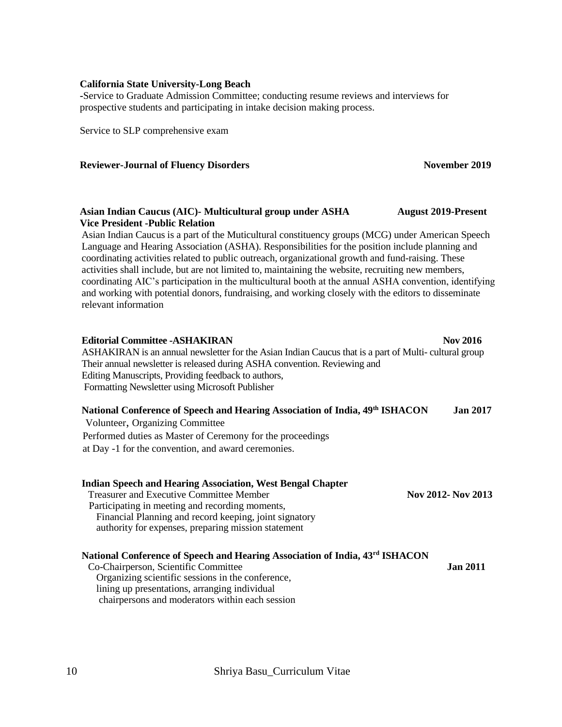#### **California State University-Long Beach**

**-**Service to Graduate Admission Committee; conducting resume reviews and interviews for prospective students and participating in intake decision making process.

Service to SLP comprehensive exam

#### **Reviewer-Journal of Fluency Disorders November 2019** November 2019

## **Asian Indian Caucus (AIC)- Multicultural group under ASHA August 2019-Present Vice President -Public Relation**

Asian Indian Caucus is a part of the Muticultural constituency groups (MCG) under American Speech Language and Hearing Association (ASHA). Responsibilities for the position include planning and coordinating activities related to public outreach, organizational growth and fund-raising. These activities shall include, but are not limited to, maintaining the website, recruiting new members, coordinating AIC's participation in the multicultural booth at the annual ASHA convention, identifying and working with potential donors, fundraising, and working closely with the editors to disseminate relevant information

| <b>Editorial Committee - ASHAKIRAN</b>                                                               | <b>Nov 2016</b> |
|------------------------------------------------------------------------------------------------------|-----------------|
| ASHAKIRAN is an annual newsletter for the Asian Indian Caucus that is a part of Multi-cultural group |                 |
| Their annual newsletter is released during ASHA convention. Reviewing and                            |                 |
| Editing Manuscripts, Providing feedback to authors,                                                  |                 |
| Formatting Newsletter using Microsoft Publisher                                                      |                 |
| National Conference of Speech and Hearing Association of India, 49th ISHACON                         | <b>Jan 2017</b> |
| Volunteer, Organizing Committee                                                                      |                 |
| Performed duties as Master of Ceremony for the proceedings                                           |                 |

at Day -1 for the convention, and award ceremonies.

| <b>Indian Speech and Hearing Association, West Bengal Chapter</b><br><b>Treasurer and Executive Committee Member</b><br>Participating in meeting and recording moments, | Nov 2012- Nov 2013 |
|-------------------------------------------------------------------------------------------------------------------------------------------------------------------------|--------------------|
| Financial Planning and record keeping, joint signatory                                                                                                                  |                    |
| authority for expenses, preparing mission statement                                                                                                                     |                    |
| National Conference of Speech and Hearing Association of India, 43rd ISHACON                                                                                            |                    |
| Co-Chairperson, Scientific Committee                                                                                                                                    | <b>Jan 2011</b>    |
| Organizing scientific sessions in the conference,                                                                                                                       |                    |
| lining up presentations, arranging individual                                                                                                                           |                    |
| chairpersons and moderators within each session                                                                                                                         |                    |